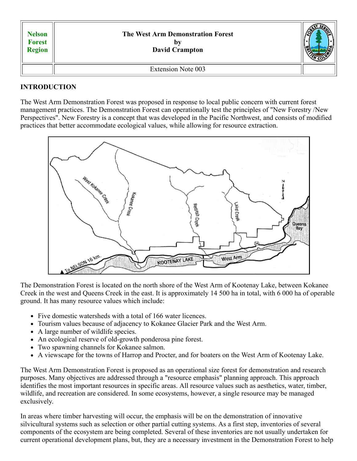| <b>Nelson</b><br><b>Forest</b><br><b>Region</b> | <b>The West Arm Demonstration Forest</b><br>- DV<br><b>David Crampton</b> |  |
|-------------------------------------------------|---------------------------------------------------------------------------|--|
|                                                 | <b>Extension Note 003</b>                                                 |  |

# **INTRODUCTION**

The West Arm Demonstration Forest was proposed in response to local public concern with current forest management practices. The Demonstration Forest can operationally test the principles of "New Forestry /New Perspectives". New Forestry is a concept that was developed in the Pacific Northwest, and consists of modified practices that better accommodate ecological values, while allowing for resource extraction.



The Demonstration Forest is located on the north shore of the West Arm of Kootenay Lake, between Kokanee Creek in the west and Queens Creek in the east. It is approximately 14 500 ha in total, with 6 000 ha of operable ground. It has many resource values which include:

- Five domestic watersheds with a total of 166 water licences.
- Tourism values because of adjacency to Kokanee Glacier Park and the West Arm.
- A large number of wildlife species.
- An ecological reserve of old-growth ponderosa pine forest.
- Two spawning channels for Kokanee salmon.
- A viewscape for the towns of Harrop and Procter, and for boaters on the West Arm of Kootenay Lake.

The West Arm Demonstration Forest is proposed as an operational size forest for demonstration and research purposes. Many objectives are addressed through a "resource emphasis" planning approach. This approach identifies the most important resources in specific areas. All resource values such as aesthetics, water, timber, wildlife, and recreation are considered. In some ecosystems, however, a single resource may be managed exclusively.

In areas where timber harvesting will occur, the emphasis will be on the demonstration of innovative silvicultural systems such as selection or other partial cutting systems. As a first step, inventories of several components of the ecosystem are being completed. Several of these inventories are not usually undertaken for current operational development plans, but, they are a necessary investment in the Demonstration Forest to help